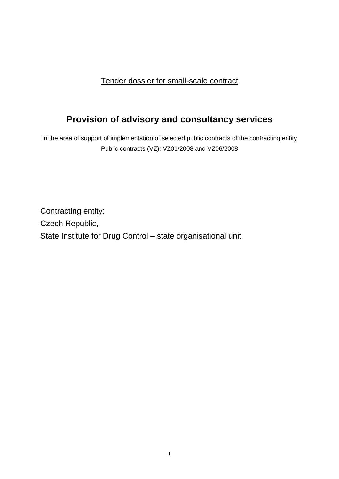Tender dossier for small-scale contract

# **Provision of advisory and consultancy services**

In the area of support of implementation of selected public contracts of the contracting entity Public contracts (VZ): VZ01/2008 and VZ06/2008

Contracting entity: Czech Republic, State Institute for Drug Control – state organisational unit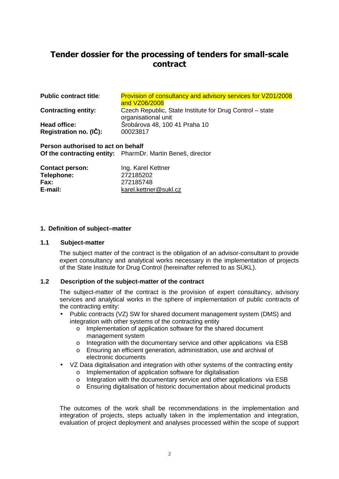# Tender dossier for the processing of tenders for small-scale contract

| <b>Public contract title:</b> | <b>Provision of consultancy and advisory services for VZ01/2008</b>             |  |  |
|-------------------------------|---------------------------------------------------------------------------------|--|--|
|                               | and VZ06/2008                                                                   |  |  |
| <b>Contracting entity:</b>    | Czech Republic, State Institute for Drug Control - state<br>organisational unit |  |  |
| Head office:                  | Šrobárova 48, 100 41 Praha 10                                                   |  |  |
| Registration no. (IC):        | 00023817                                                                        |  |  |

**Person authorised to act on behalf Of the contracting entity:** PharmDr. Martin Beneš, director

| Ing. Karel Kettner<br><b>Contact person:</b> |                       |
|----------------------------------------------|-----------------------|
| Telephone:                                   | 272185202             |
| Fax:                                         | 272185748             |
| E-mail:                                      | karel.kettner@sukl.cz |

### **1. Definition of subject–matter**

### **1.1 Subject-matter**

The subject matter of the contract is the obligation of an advisor-consultant to provide expert consultancy and analytical works necessary in the implementation of projects of the State Institute for Drug Control (hereinafter referred to as SÚKL).

# **1.2 Description of the subject-matter of the contract**

The subject-matter of the contract is the provision of expert consultancy, advisory services and analytical works in the sphere of implementation of public contracts of the contracting entity:

- Public contracts (VZ) SW for shared document management system (DMS) and integration with other systems of the contracting entity
	- o Implementation of application software for the shared document management system
	- o Integration with the documentary service and other applications via ESB
	- o Ensuring an efficient generation, administration, use and archival of electronic documents
- VZ Data digitalisation and integration with other systems of the contracting entity
	- o Implementation of application software for digitalisation
	- o Integration with the documentary service and other applications via ESB
	- o Ensuring digitalisation of historic documentation about medicinal products

The outcomes of the work shall be recommendations in the implementation and integration of projects, steps actually taken in the implementation and integration, evaluation of project deployment and analyses processed within the scope of support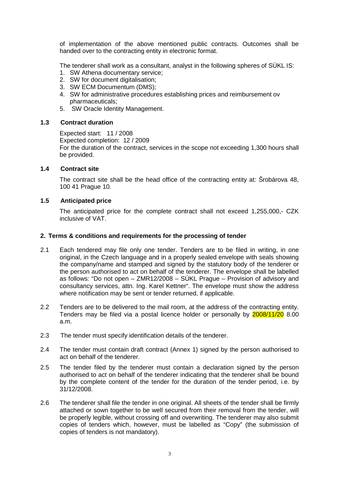of implementation of the above mentioned public contracts. Outcomes shall be handed over to the contracting entity in electronic format.

The tenderer shall work as a consultant, analyst in the following spheres of SÚKL IS:

- 1. SW Athena documentary service;
- 2. SW for document digitalisation;
- 3. SW ECM Documentum (DMS);
- 4. SW for administrative procedures establishing prices and reimbursement ov pharmaceuticals;
- 5. SW Oracle Identity Management.

### **1.3 Contract duration**

Expected start: 11 / 2008 Expected completion: 12 / 2009 For the duration of the contract, services in the scope not exceeding 1,300 hours shall be provided.

# **1.4 Contract site**

The contract site shall be the head office of the contracting entity at: Šrobárova 48, 100 41 Prague 10.

### **1.5 Anticipated price**

The anticipated price for the complete contract shall not exceed 1,255,000,- CZK inclusive of VAT.

### **2. Terms & conditions and requirements for the processing of tender**

- 2.1 Each tendered may file only one tender. Tenders are to be filed in writing, in one original, in the Czech language and in a properly sealed envelope with seals showing the company/name and stamped and signed by the statutory body of the tenderer or the person authorised to act on behalf of the tenderer. The envelope shall be labelled as follows: "Do not open – ZMR12/2008 – SÚKL Prague – Provision of advisory and consultancy services, attn. Ing. Karel Kettner". The envelope must show the address where notification may be sent or tender returned, if applicable.
- 2.2 Tenders are to be delivered to the mail room, at the address of the contracting entity. Tenders may be filed via a postal licence holder or personally by 2008/11/20 8.00 a.m.
- 2.3 The tender must specify identification details of the tenderer.
- 2.4 The tender must contain draft contract (Annex 1) signed by the person authorised to act on behalf of the tenderer.
- 2.5 The tender filed by the tenderer must contain a declaration signed by the person authorised to act on behalf of the tenderer indicating that the tenderer shall be bound by the complete content of the tender for the duration of the tender period, i.e. by 31/12/2008.
- 2.6 The tenderer shall file the tender in one original. All sheets of the tender shall be firmly attached or sown together to be well secured from their removal from the tender, will be properly legible, without crossing off and overwriting. The tenderer may also submit copies of tenders which, however, must be labelled as "Copy" (the submission of copies of tenders is not mandatory).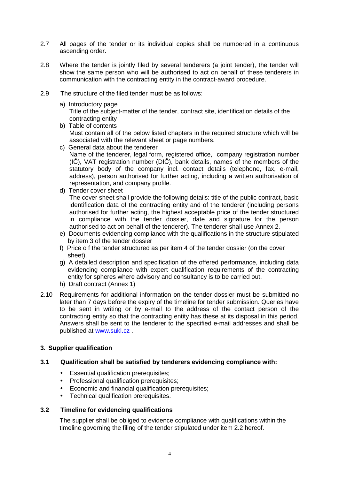- 2.7 All pages of the tender or its individual copies shall be numbered in a continuous ascending order.
- 2.8 Where the tender is jointly filed by several tenderers (a joint tender), the tender will show the same person who will be authorised to act on behalf of these tenderers in communication with the contracting entity in the contract-award procedure.
- 2.9 The structure of the filed tender must be as follows:
	- a) Introductory page

Title of the subject-matter of the tender, contract site, identification details of the contracting entity

- b) Table of contents Must contain all of the below listed chapters in the required structure which will be associated with the relevant sheet or page numbers.
- c) General data about the tenderer Name of the tenderer, legal form, registered office, company registration number (IČ), VAT registration number (DIČ), bank details, names of the members of the statutory body of the company incl. contact details (telephone, fax, e-mail, address), person authorised for further acting, including a written authorisation of representation, and company profile.
- d) Tender cover sheet

The cover sheet shall provide the following details: title of the public contract, basic identification data of the contracting entity and of the tenderer (including persons authorised for further acting, the highest acceptable price of the tender structured in compliance with the tender dossier, date and signature for the person authorised to act on behalf of the tenderer). The tenderer shall use Annex 2.

- e) Documents evidencing compliance with the qualifications in the structure stipulated by item 3 of the tender dossier
- f) Price o f the tender structured as per item 4 of the tender dossier (on the cover sheet).
- g) A detailed description and specification of the offered performance, including data evidencing compliance with expert qualification requirements of the contracting entity for spheres where advisory and consultancy is to be carried out.
- h) Draft contract (Annex 1)
- 2.10 Requirements for additional information on the tender dossier must be submitted no later than 7 days before the expiry of the timeline for tender submission. Queries have to be sent in writing or by e-mail to the address of the contact person of the contracting entity so that the contracting entity has these at its disposal in this period. Answers shall be sent to the tenderer to the specified e-mail addresses and shall be published at www.sukl.cz .

# **3. Supplier qualification**

# **3.1 Qualification shall be satisfied by tenderers evidencing compliance with:**

- Essential qualification prerequisites;
- Professional qualification prerequisites;
- Economic and financial qualification prerequisites;
- Technical qualification prerequisites.

# **3.2 Timeline for evidencing qualifications**

The supplier shall be obliged to evidence compliance with qualifications within the timeline governing the filing of the tender stipulated under item 2.2 hereof.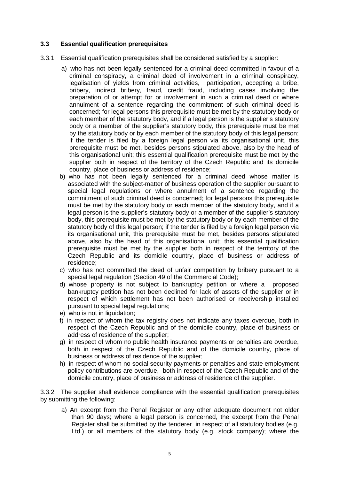# **3.3 Essential qualification prerequisites**

- 3.3.1 Essential qualification prerequisites shall be considered satisfied by a supplier:
	- a) who has not been legally sentenced for a criminal deed committed in favour of a criminal conspiracy, a criminal deed of involvement in a criminal conspiracy, legalisation of yields from criminal activities, participation, accepting a bribe, bribery, indirect bribery, fraud, credit fraud, including cases involving the preparation of or attempt for or involvement in such a criminal deed or where annulment of a sentence regarding the commitment of such criminal deed is concerned; for legal persons this prerequisite must be met by the statutory body or each member of the statutory body, and if a legal person is the supplier's statutory body or a member of the supplier's statutory body, this prerequisite must be met by the statutory body or by each member of the statutory body of this legal person; if the tender is filed by a foreign legal person via its organisational unit, this prerequisite must be met, besides persons stipulated above, also by the head of this organisational unit; this essential qualification prerequisite must be met by the supplier both in respect of the territory of the Czech Republic and its domicile country, place of business or address of residence;
	- b) who has not been legally sentenced for a criminal deed whose matter is associated with the subject-matter of business operation of the supplier pursuant to special legal regulations or where annulment of a sentence regarding the commitment of such criminal deed is concerned; for legal persons this prerequisite must be met by the statutory body or each member of the statutory body, and if a legal person is the supplier's statutory body or a member of the supplier's statutory body, this prerequisite must be met by the statutory body or by each member of the statutory body of this legal person; if the tender is filed by a foreign legal person via its organisational unit, this prerequisite must be met, besides persons stipulated above, also by the head of this organisational unit; this essential qualification prerequisite must be met by the supplier both in respect of the territory of the Czech Republic and its domicile country, place of business or address of residence;
	- c) who has not committed the deed of unfair competition by bribery pursuant to a special legal regulation (Section 49 of the Commercial Code);
	- d) whose property is not subject to bankruptcy petition or where a proposed bankruptcy petition has not been declined for lack of assets of the supplier or in respect of which settlement has not been authorised or receivership installed pursuant to special legal regulations;
	- e) who is not in liquidation;
	- f) in respect of whom the tax registry does not indicate any taxes overdue, both in respect of the Czech Republic and of the domicile country, place of business or address of residence of the supplier;
	- g) in respect of whom no public health insurance payments or penalties are overdue, both in respect of the Czech Republic and of the domicile country, place of business or address of residence of the supplier;
	- h) in respect of whom no social security payments or penalties and state employment policy contributions are overdue, both in respect of the Czech Republic and of the domicile country, place of business or address of residence of the supplier.

3.3.2 The supplier shall evidence compliance with the essential qualification prerequisites by submitting the following:

a) An excerpt from the Penal Register or any other adequate document not older than 90 days; where a legal person is concerned, the excerpt from the Penal Register shall be submitted by the tenderer in respect of all statutory bodies (e.g. Ltd.) or all members of the statutory body (e.g. stock company); where the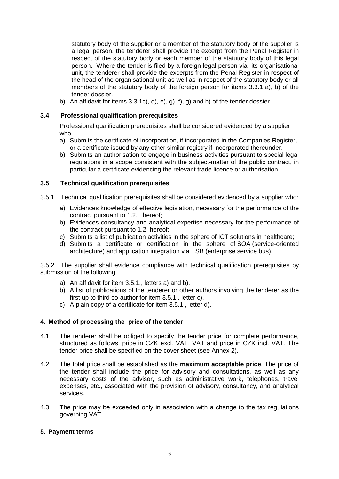statutory body of the supplier or a member of the statutory body of the supplier is a legal person, the tenderer shall provide the excerpt from the Penal Register in respect of the statutory body or each member of the statutory body of this legal person. Where the tender is filed by a foreign legal person via its organisational unit, the tenderer shall provide the excerpts from the Penal Register in respect of the head of the organisational unit as well as in respect of the statutory body or all members of the statutory body of the foreign person for items 3.3.1 a), b) of the tender dossier.

b) An affidavit for items 3.3.1c), d), e), g), f), g) and h) of the tender dossier.

# **3.4 Professional qualification prerequisites**

Professional qualification prerequisites shall be considered evidenced by a supplier who:

- a) Submits the certificate of incorporation, if incorporated in the Companies Register, or a certificate issued by any other similar registry if incorporated thereunder.
- b) Submits an authorisation to engage in business activities pursuant to special legal regulations in a scope consistent with the subject-matter of the public contract, in particular a certificate evidencing the relevant trade licence or authorisation.

# **3.5 Technical qualification prerequisites**

- 3.5.1 Technical qualification prerequisites shall be considered evidenced by a supplier who:
	- a) Evidences knowledge of effective legislation, necessary for the performance of the contract pursuant to 1.2. hereof;
	- b) Evidences consultancy and analytical expertise necessary for the performance of the contract pursuant to 1.2. hereof;
	- c) Submits a list of publication activities in the sphere of ICT solutions in healthcare;
	- d) Submits a certificate or certification in the sphere of SOA (service-oriented architecture) and application integration via ESB (enterprise service bus).

3.5.2 The supplier shall evidence compliance with technical qualification prerequisites by submission of the following:

- a) An affidavit for item 3.5.1., letters a) and b).
- b) A list of publications of the tenderer or other authors involving the tenderer as the first up to third co-author for item 3.5.1., letter c).
- c) A plain copy of a certificate for item 3.5.1., letter d).

# **4. Method of processing the price of the tender**

- 4.1 The tenderer shall be obliged to specify the tender price for complete performance, structured as follows: price in CZK excl. VAT, VAT and price in CZK incl. VAT. The tender price shall be specified on the cover sheet (see Annex 2).
- 4.2 The total price shall be established as the **maximum acceptable price**. The price of the tender shall include the price for advisory and consultations, as well as any necessary costs of the advisor, such as administrative work, telephones, travel expenses, etc., associated with the provision of advisory, consultancy, and analytical services.
- 4.3 The price may be exceeded only in association with a change to the tax regulations governing VAT.

# **5. Payment terms**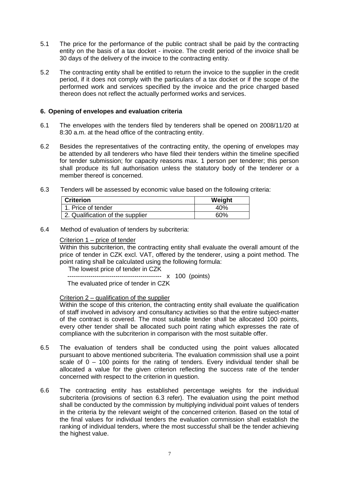- 5.1 The price for the performance of the public contract shall be paid by the contracting entity on the basis of a tax docket - invoice. The credit period of the invoice shall be 30 days of the delivery of the invoice to the contracting entity.
- 5.2 The contracting entity shall be entitled to return the invoice to the supplier in the credit period, if it does not comply with the particulars of a tax docket or if the scope of the performed work and services specified by the invoice and the price charged based thereon does not reflect the actually performed works and services.

# **6. Opening of envelopes and evaluation criteria**

- 6.1 The envelopes with the tenders filed by tenderers shall be opened on 2008/11/20 at 8:30 a.m. at the head office of the contracting entity.
- 6.2 Besides the representatives of the contracting entity, the opening of envelopes may be attended by all tenderers who have filed their tenders within the timeline specified for tender submission; for capacity reasons max. 1 person per tenderer; this person shall produce its full authorisation unless the statutory body of the tenderer or a member thereof is concerned.
- 6.3 Tenders will be assessed by economic value based on the following criteria:

| <b>Criterion</b>                 | Weight |
|----------------------------------|--------|
| 1. Price of tender               | 40%    |
| 2. Qualification of the supplier | 60%    |

6.4 Method of evaluation of tenders by subcriteria:

# Criterion 1 – price of tender

Within this subcriterion, the contracting entity shall evaluate the overall amount of the price of tender in CZK excl. VAT, offered by the tenderer, using a point method. The point rating shall be calculated using the following formula:

The lowest price of tender in CZK

--------------------------------------------- x 100 (points)

The evaluated price of tender in CZK

# Criterion 2 – qualification of the supplier

Within the scope of this criterion, the contracting entity shall evaluate the qualification of staff involved in advisory and consultancy activities so that the entire subject-matter of the contract is covered. The most suitable tender shall be allocated 100 points, every other tender shall be allocated such point rating which expresses the rate of compliance with the subcriterion in comparison with the most suitable offer.

- 6.5 The evaluation of tenders shall be conducted using the point values allocated pursuant to above mentioned subcriteria. The evaluation commission shall use a point scale of  $0 - 100$  points for the rating of tenders. Every individual tender shall be allocated a value for the given criterion reflecting the success rate of the tender concerned with respect to the criterion in question.
- 6.6 The contracting entity has established percentage weights for the individual subcriteria (provisions of section 6.3 refer). The evaluation using the point method shall be conducted by the commission by multiplying individual point values of tenders in the criteria by the relevant weight of the concerned criterion. Based on the total of the final values for individual tenders the evaluation commission shall establish the ranking of individual tenders, where the most successful shall be the tender achieving the highest value.